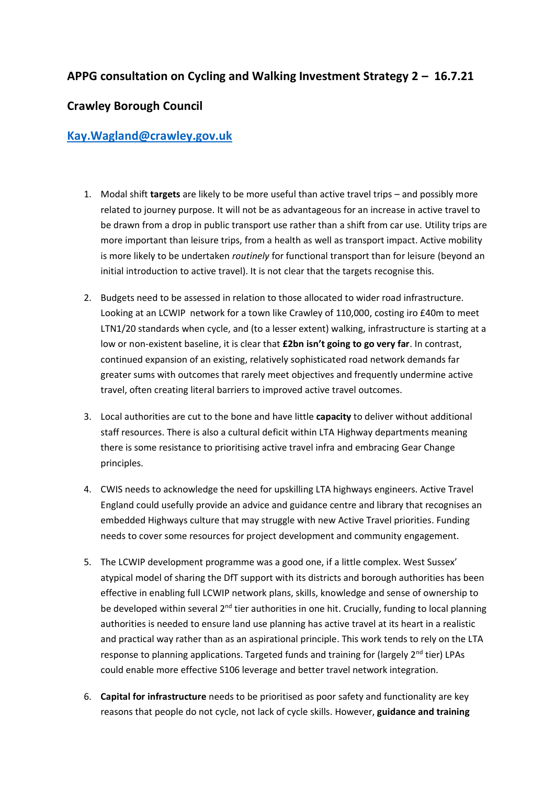## **APPG consultation on Cycling and Walking Investment Strategy 2 – 16.7.21**

## **Crawley Borough Council**

## **[Kay.Wagland@crawley.gov.uk](mailto:Kay.Wagland@crawley.gov.uk)**

- 1. Modal shift **targets** are likely to be more useful than active travel trips and possibly more related to journey purpose. It will not be as advantageous for an increase in active travel to be drawn from a drop in public transport use rather than a shift from car use. Utility trips are more important than leisure trips, from a health as well as transport impact. Active mobility is more likely to be undertaken *routinely* for functional transport than for leisure (beyond an initial introduction to active travel). It is not clear that the targets recognise this.
- 2. Budgets need to be assessed in relation to those allocated to wider road infrastructure. Looking at an LCWIP network for a town like Crawley of 110,000, costing iro £40m to meet LTN1/20 standards when cycle, and (to a lesser extent) walking, infrastructure is starting at a low or non-existent baseline, it is clear that **£2bn isn't going to go very far**. In contrast, continued expansion of an existing, relatively sophisticated road network demands far greater sums with outcomes that rarely meet objectives and frequently undermine active travel, often creating literal barriers to improved active travel outcomes.
- 3. Local authorities are cut to the bone and have little **capacity** to deliver without additional staff resources. There is also a cultural deficit within LTA Highway departments meaning there is some resistance to prioritising active travel infra and embracing Gear Change principles.
- 4. CWIS needs to acknowledge the need for upskilling LTA highways engineers. Active Travel England could usefully provide an advice and guidance centre and library that recognises an embedded Highways culture that may struggle with new Active Travel priorities. Funding needs to cover some resources for project development and community engagement.
- 5. The LCWIP development programme was a good one, if a little complex. West Sussex' atypical model of sharing the DfT support with its districts and borough authorities has been effective in enabling full LCWIP network plans, skills, knowledge and sense of ownership to be developed within several 2<sup>nd</sup> tier authorities in one hit. Crucially, funding to local planning authorities is needed to ensure land use planning has active travel at its heart in a realistic and practical way rather than as an aspirational principle. This work tends to rely on the LTA response to planning applications. Targeted funds and training for (largely  $2^{nd}$  tier) LPAs could enable more effective S106 leverage and better travel network integration.
- 6. **Capital for infrastructure** needs to be prioritised as poor safety and functionality are key reasons that people do not cycle, not lack of cycle skills. However, **guidance and training**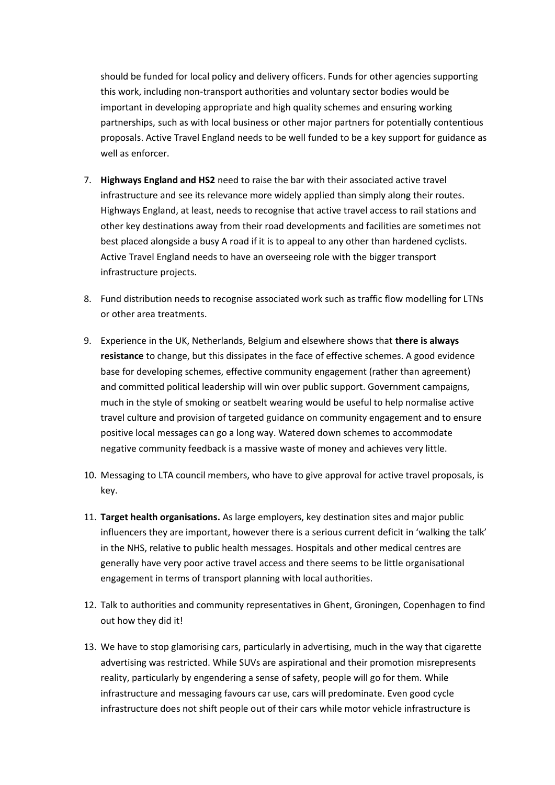should be funded for local policy and delivery officers. Funds for other agencies supporting this work, including non-transport authorities and voluntary sector bodies would be important in developing appropriate and high quality schemes and ensuring working partnerships, such as with local business or other major partners for potentially contentious proposals. Active Travel England needs to be well funded to be a key support for guidance as well as enforcer.

- 7. **Highways England and HS2** need to raise the bar with their associated active travel infrastructure and see its relevance more widely applied than simply along their routes. Highways England, at least, needs to recognise that active travel access to rail stations and other key destinations away from their road developments and facilities are sometimes not best placed alongside a busy A road if it is to appeal to any other than hardened cyclists. Active Travel England needs to have an overseeing role with the bigger transport infrastructure projects.
- 8. Fund distribution needs to recognise associated work such as traffic flow modelling for LTNs or other area treatments.
- 9. Experience in the UK, Netherlands, Belgium and elsewhere shows that **there is always resistance** to change, but this dissipates in the face of effective schemes. A good evidence base for developing schemes, effective community engagement (rather than agreement) and committed political leadership will win over public support. Government campaigns, much in the style of smoking or seatbelt wearing would be useful to help normalise active travel culture and provision of targeted guidance on community engagement and to ensure positive local messages can go a long way. Watered down schemes to accommodate negative community feedback is a massive waste of money and achieves very little.
- 10. Messaging to LTA council members, who have to give approval for active travel proposals, is key.
- 11. **Target health organisations.** As large employers, key destination sites and major public influencers they are important, however there is a serious current deficit in 'walking the talk' in the NHS, relative to public health messages. Hospitals and other medical centres are generally have very poor active travel access and there seems to be little organisational engagement in terms of transport planning with local authorities.
- 12. Talk to authorities and community representatives in Ghent, Groningen, Copenhagen to find out how they did it!
- 13. We have to stop glamorising cars, particularly in advertising, much in the way that cigarette advertising was restricted. While SUVs are aspirational and their promotion misrepresents reality, particularly by engendering a sense of safety, people will go for them. While infrastructure and messaging favours car use, cars will predominate. Even good cycle infrastructure does not shift people out of their cars while motor vehicle infrastructure is